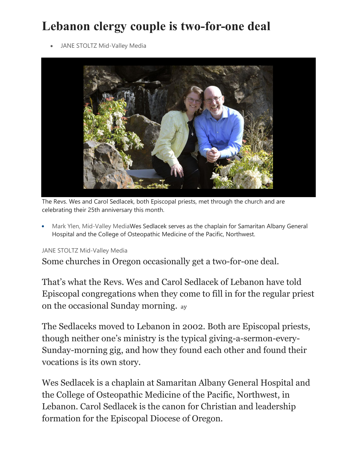## **Lebanon clergy couple is two-for-one deal**

JANE STOLTZ Mid-Valley Media



The Revs. Wes and Carol Sedlacek, both Episcopal priests, met through the church and are celebrating their 25th anniversary this month.

• Mark Ylen, Mid-Valley MediaWes Sedlacek serves as the chaplain for Samaritan Albany General Hospital and the College of Osteopathic Medicine of the Pacific, Northwest.

## JANE STOLTZ Mid-Valley Media

Some churches in Oregon occasionally get a two-for-one deal.

That's what the Revs. Wes and Carol Sedlacek of Lebanon have told Episcopal congregations when they come to fill in for the regular priest on the occasional Sunday morning. ay

The Sedlaceks moved to Lebanon in 2002. Both are Episcopal priests, though neither one's ministry is the typical giving-a-sermon-every-Sunday-morning gig, and how they found each other and found their vocations is its own story.

Wes Sedlacek is a chaplain at Samaritan Albany General Hospital and the College of Osteopathic Medicine of the Pacific, Northwest, in Lebanon. Carol Sedlacek is the canon for Christian and leadership formation for the Episcopal Diocese of Oregon.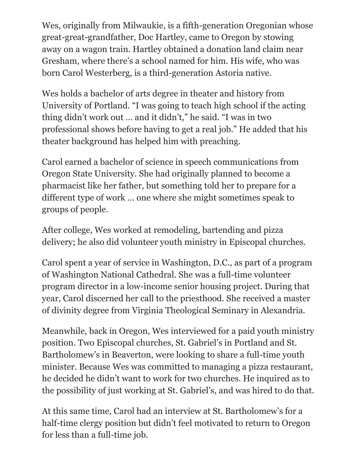Wes, originally from Milwaukie, is a fifth-generation Oregonian whose great-great-grandfather, Doc Hartley, came to Oregon by stowing away on a wagon train. Hartley obtained a donation land claim near Gresham, where there's a school named for him. His wife, who was born Carol Westerberg, is a third-generation Astoria native.

Wes holds a bachelor of arts degree in theater and history from University of Portland. "I was going to teach high school if the acting thing didn't work out … and it didn't," he said. "I was in two professional shows before having to get a real job." He added that his theater background has helped him with preaching.

Carol earned a bachelor of science in speech communications from Oregon State University. She had originally planned to become a pharmacist like her father, but something told her to prepare for a different type of work … one where she might sometimes speak to groups of people.

After college, Wes worked at remodeling, bartending and pizza delivery; he also did volunteer youth ministry in Episcopal churches.

Carol spent a year of service in Washington, D.C., as part of a program of Washington National Cathedral. She was a full-time volunteer program director in a low-income senior housing project. During that year, Carol discerned her call to the priesthood. She received a master of divinity degree from Virginia Theological Seminary in Alexandria.

Meanwhile, back in Oregon, Wes interviewed for a paid youth ministry position. Two Episcopal churches, St. Gabriel's in Portland and St. Bartholomew's in Beaverton, were looking to share a full-time youth minister. Because Wes was committed to managing a pizza restaurant, he decided he didn't want to work for two churches. He inquired as to the possibility of just working at St. Gabriel's, and was hired to do that.

At this same time, Carol had an interview at St. Bartholomew's for a half-time clergy position but didn't feel motivated to return to Oregon for less than a full-time job.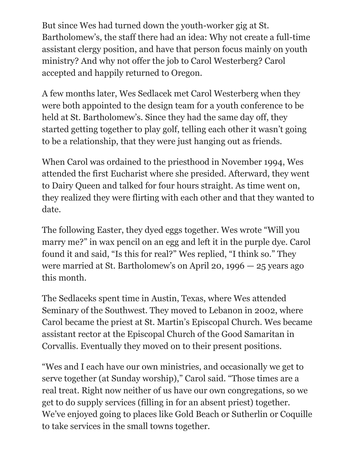But since Wes had turned down the youth-worker gig at St. Bartholomew's, the staff there had an idea: Why not create a full-time assistant clergy position, and have that person focus mainly on youth ministry? And why not offer the job to Carol Westerberg? Carol accepted and happily returned to Oregon.

A few months later, Wes Sedlacek met Carol Westerberg when they were both appointed to the design team for a youth conference to be held at St. Bartholomew's. Since they had the same day off, they started getting together to play golf, telling each other it wasn't going to be a relationship, that they were just hanging out as friends.

When Carol was ordained to the priesthood in November 1994, Wes attended the first Eucharist where she presided. Afterward, they went to Dairy Queen and talked for four hours straight. As time went on, they realized they were flirting with each other and that they wanted to date.

The following Easter, they dyed eggs together. Wes wrote "Will you marry me?" in wax pencil on an egg and left it in the purple dye. Carol found it and said, "Is this for real?" Wes replied, "I think so." They were married at St. Bartholomew's on April 20, 1996 — 25 years ago this month.

The Sedlaceks spent time in Austin, Texas, where Wes attended Seminary of the Southwest. They moved to Lebanon in 2002, where Carol became the priest at St. Martin's Episcopal Church. Wes became assistant rector at the Episcopal Church of the Good Samaritan in Corvallis. Eventually they moved on to their present positions.

"Wes and I each have our own ministries, and occasionally we get to serve together (at Sunday worship)," Carol said. "Those times are a real treat. Right now neither of us have our own congregations, so we get to do supply services (filling in for an absent priest) together. We've enjoyed going to places like Gold Beach or Sutherlin or Coquille to take services in the small towns together.